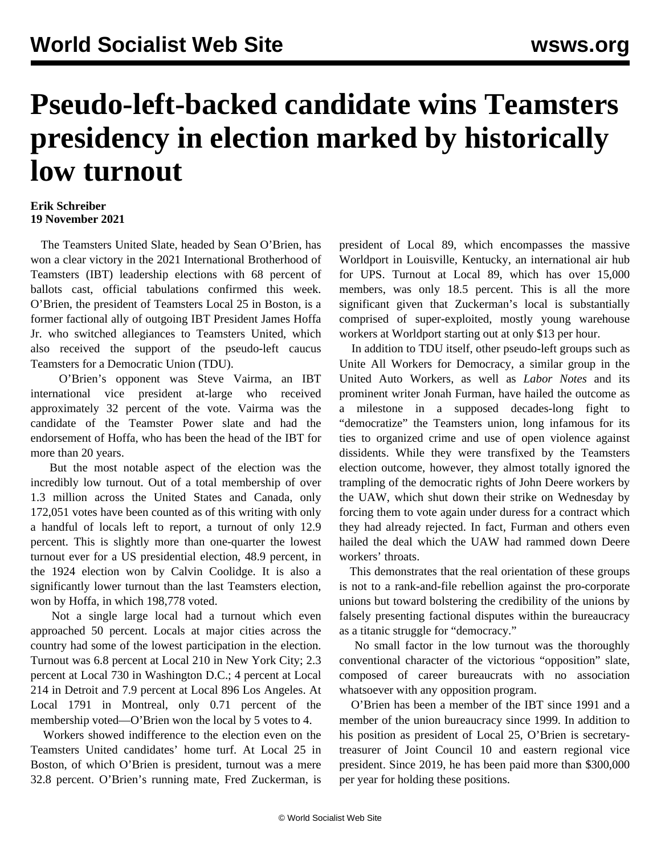## **Pseudo-left-backed candidate wins Teamsters presidency in election marked by historically low turnout**

## **Erik Schreiber 19 November 2021**

 The Teamsters United Slate, headed by Sean O'Brien, has won a clear victory in the 2021 International Brotherhood of Teamsters (IBT) leadership elections with 68 percent of ballots cast, official tabulations confirmed this week. O'Brien, the president of Teamsters Local 25 in Boston, is a former factional ally of outgoing IBT President James Hoffa Jr. who switched allegiances to Teamsters United, which also received the support of the pseudo-left caucus Teamsters for a Democratic Union (TDU).

 O'Brien's opponent was Steve Vairma, an IBT international vice president at-large who received approximately 32 percent of the vote. Vairma was the candidate of the Teamster Power slate and had the endorsement of Hoffa, who has been the head of the IBT for more than 20 years.

 But the most notable aspect of the election was the incredibly low turnout. Out of a total membership of over 1.3 million across the United States and Canada, only 172,051 votes have been counted as of this writing with only a handful of locals left to report, a turnout of only 12.9 percent. This is slightly more than one-quarter the lowest turnout ever for a US presidential election, 48.9 percent, in the 1924 election won by Calvin Coolidge. It is also a significantly lower turnout than the last Teamsters election, won by Hoffa, in which 198,778 voted.

 Not a single large local had a turnout which even approached 50 percent. Locals at major cities across the country had some of the lowest participation in the election. Turnout was 6.8 percent at Local 210 in New York City; 2.3 percent at Local 730 in Washington D.C.; 4 percent at Local 214 in Detroit and 7.9 percent at Local 896 Los Angeles. At Local 1791 in Montreal, only 0.71 percent of the membership voted—O'Brien won the local by 5 votes to 4.

 Workers showed indifference to the election even on the Teamsters United candidates' home turf. At Local 25 in Boston, of which O'Brien is president, turnout was a mere 32.8 percent. O'Brien's running mate, Fred Zuckerman, is

president of Local 89, which encompasses the massive Worldport in Louisville, Kentucky, an international air hub for UPS. Turnout at Local 89, which has over 15,000 members, was only 18.5 percent. This is all the more significant given that Zuckerman's local is substantially comprised of super-exploited, mostly young warehouse workers at Worldport starting out at only \$13 per hour.

 In addition to TDU itself, other pseudo-left groups such as [Unite All Workers for Democracy,](/en/articles/2021/10/06/auto-o06.html) a similar group in the United Auto Workers, as well as *Labor Notes* and its prominent writer [Jonah Furman,](/en/articles/2021/11/10/refr-n10.html) have hailed the outcome as a milestone in a supposed decades-long fight to "democratize" the Teamsters union, long infamous for its ties to organized crime and use of open violence against dissidents. While they were transfixed by the Teamsters election outcome, however, they almost totally ignored the trampling of the democratic rights of John Deere workers by the UAW, which [shut down their strike](/en/articles/2021/11/18/deer-n18.html) on Wednesday by forcing them to vote again under duress for a contract which they had already rejected. In fact, Furman and others even hailed the deal which the UAW had rammed down Deere workers' throats

 This demonstrates that the real orientation of these groups is not to a rank-and-file rebellion against the pro-corporate unions but toward bolstering the credibility of the unions by falsely presenting factional disputes within the bureaucracy as a titanic struggle for "democracy."

 No small factor in the low turnout was the thoroughly conventional character of the victorious "opposition" slate, composed of career bureaucrats with no association whatsoever with any opposition program.

 O'Brien has been a member of the IBT since 1991 and a member of the union bureaucracy since 1999. In addition to his position as president of Local 25, O'Brien is secretarytreasurer of Joint Council 10 and eastern regional vice president. Since 2019, he has been paid more than \$300,000 per year for holding these positions.